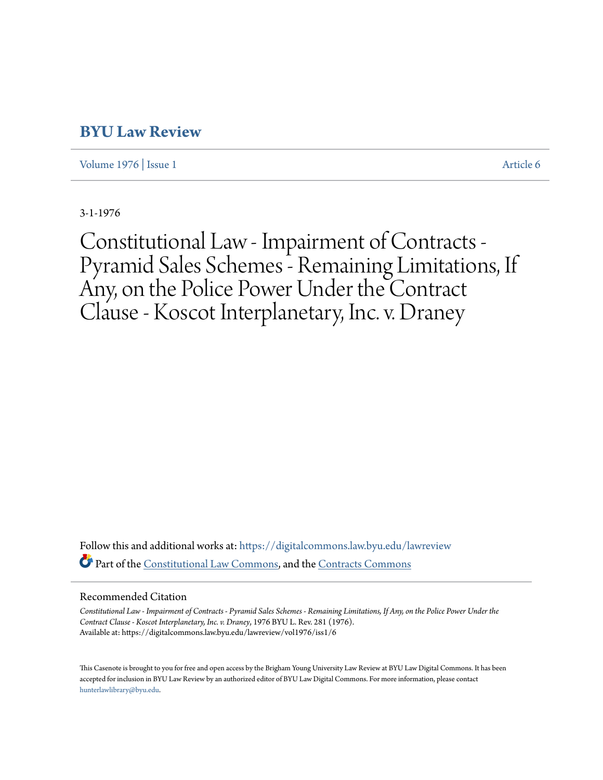# **[BYU Law Review](https://digitalcommons.law.byu.edu/lawreview?utm_source=digitalcommons.law.byu.edu%2Flawreview%2Fvol1976%2Fiss1%2F6&utm_medium=PDF&utm_campaign=PDFCoverPages)**

[Volume 1976](https://digitalcommons.law.byu.edu/lawreview/vol1976?utm_source=digitalcommons.law.byu.edu%2Flawreview%2Fvol1976%2Fiss1%2F6&utm_medium=PDF&utm_campaign=PDFCoverPages) | [Issue 1](https://digitalcommons.law.byu.edu/lawreview/vol1976/iss1?utm_source=digitalcommons.law.byu.edu%2Flawreview%2Fvol1976%2Fiss1%2F6&utm_medium=PDF&utm_campaign=PDFCoverPages) [Article 6](https://digitalcommons.law.byu.edu/lawreview/vol1976/iss1/6?utm_source=digitalcommons.law.byu.edu%2Flawreview%2Fvol1976%2Fiss1%2F6&utm_medium=PDF&utm_campaign=PDFCoverPages)

3-1-1976

Constitutional Law - Impairment of Contracts - Pyramid Sales Schemes - Remaining Limitations, If Any, on the Police Power Under the Contract Clause - Koscot Interplanetary, Inc. v. Draney

Follow this and additional works at: [https://digitalcommons.law.byu.edu/lawreview](https://digitalcommons.law.byu.edu/lawreview?utm_source=digitalcommons.law.byu.edu%2Flawreview%2Fvol1976%2Fiss1%2F6&utm_medium=PDF&utm_campaign=PDFCoverPages) Part of the [Constitutional Law Commons,](http://network.bepress.com/hgg/discipline/589?utm_source=digitalcommons.law.byu.edu%2Flawreview%2Fvol1976%2Fiss1%2F6&utm_medium=PDF&utm_campaign=PDFCoverPages) and the [Contracts Commons](http://network.bepress.com/hgg/discipline/591?utm_source=digitalcommons.law.byu.edu%2Flawreview%2Fvol1976%2Fiss1%2F6&utm_medium=PDF&utm_campaign=PDFCoverPages)

# Recommended Citation

*Constitutional Law - Impairment of Contracts - Pyramid Sales Schemes - Remaining Limitations, If Any, on the Police Power Under the Contract Clause - Koscot Interplanetary, Inc. v. Draney*, 1976 BYU L. Rev. 281 (1976). Available at: https://digitalcommons.law.byu.edu/lawreview/vol1976/iss1/6

This Casenote is brought to you for free and open access by the Brigham Young University Law Review at BYU Law Digital Commons. It has been accepted for inclusion in BYU Law Review by an authorized editor of BYU Law Digital Commons. For more information, please contact [hunterlawlibrary@byu.edu.](mailto:hunterlawlibrary@byu.edu)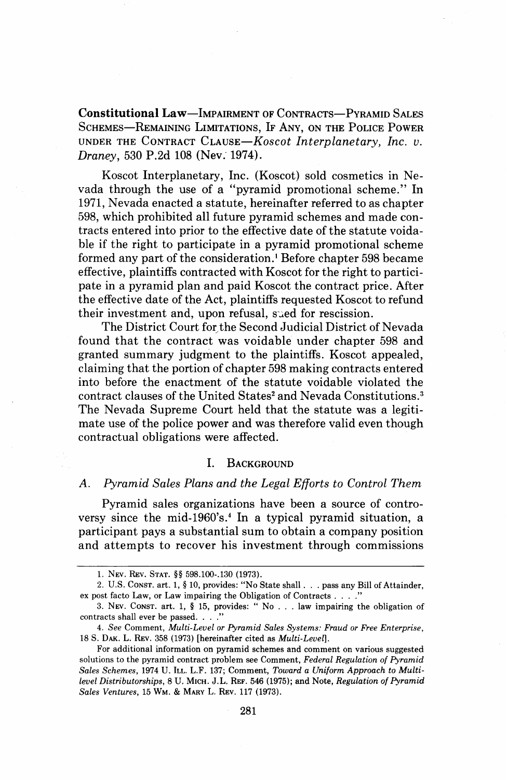Constitutional Law-IMPAIRMENT OF CONTRACTS-PYRAMID SALES SCHEMES-REMAINING LIMITATIONS, IF ANY, ON THE POLICE POWER UNDER THE CONTRACT CLAUSE-Koscot Interplanetary, Inc. v. Draney, 530 P.2d 108 (Nev. 1974).

Koscot Interplanetary, Inc. (Koscot) sold cosmetics in Nevada through the use of a "pyramid promotional scheme." In 1971, Nevada enacted a statute, hereinafter referred to as chapter 598, which prohibited all future pyramid schemes and made contracts entered into prior to the effective date of the statute voidable if the right to participate in a pyramid promotional scheme formed any part of the consideration.' Before chapter 598 became effective, plaintiffs contracted with Koscot for the right to participate in a pyramid plan and paid Koscot the contract price. After the effective date of the Act, plaintiffs requested Koscot to refund their investment and, upon refusal, sued for rescission.

The District Court for the Second Judicial District of Nevada found that the contract was voidable under chapter 598 and granted summary judgment to the plaintiffs. Koscot appealed, claiming that the portion of chapter 598 making contracts entered into before the enactment of the statute voidable violated the contract clauses of the United States<sup>2</sup> and Nevada Constitutions.<sup>3</sup> The Nevada Supreme Court held that the statute was a legitimate use of the police power and was therefore valid even though contractual obligations were affected.

#### T. BACKGROUND

# *A.* Pyramid Sales Plans and the Legal Efforts to Control Them

Pyramid sales organizations have been a source of controversy since the mid-1960's.<sup>4</sup> In a typical pyramid situation, a participant pays a substantial sum to obtain a company position and attempts to recover his investment through commissions

**<sup>1.</sup> NEV. REV.** STAT. *\$5* **598.100-.I30 (1973).** 

**<sup>2.</sup>** U.S. CONST. art. 1, \$ **10,** provides: "No State shall . . . pass any Bill of Attainder, ex post facto Law, or Law impairing the Obligation of Contracts . . . ."

**<sup>3.</sup> NEV.** CONST. art. **1,** § **15,** provides: " No . . . law impairing the obligation of contracts shall ever be passed. . . ."

<sup>4.</sup> See Comment, Multi-Level or Pyramid Sales Systems: Fraud or Free Enterprise, **18** S. **DAK. L. REV. 358 (1973)** [hereinafter cited as Multi-Level].

For additional information on pyramid schemes and comment on various suggested solutions to the pyramid contract problem see Comment, Federal Regulation of Pyramid Sales Schemes, **1974** U. ILL. L.F. **137;** Comment, Toward a Uniform Approach to Multilevel Distributorships, **8** U. MICH. J.L. **REF. 546 (1975);** and Note, Regulation of Pyramid Sales Ventures, **15** WM. & MARY L. **REV. 117 (1973).**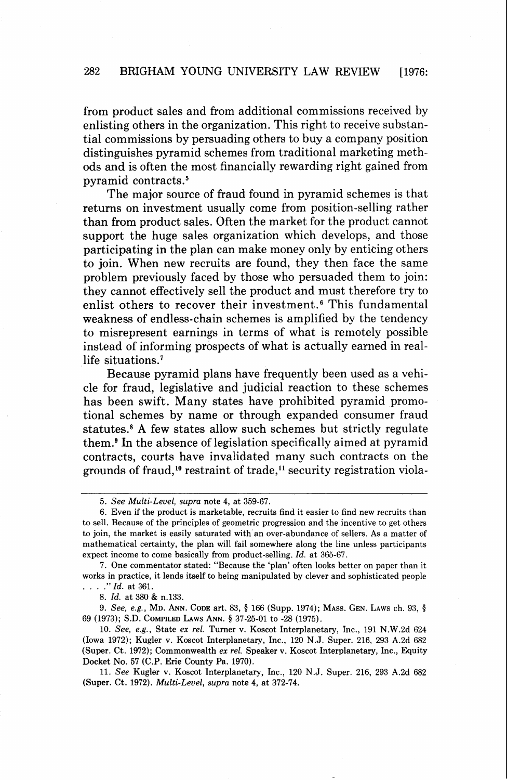from product sales and from additional commissions received by enlisting others in the organization. This right to receive substantial commissions by persuading others to buy a company position distinguishes pyramid schemes from traditional marketing methods and is often the most financially rewarding right gained from pyramid contracts.<sup>5</sup>

The major source of fraud found in pyramid schemes is that returns on investment usually come from position-selling rather than from product sales. Often the market for the product cannot support the huge sales organization which develops, and those participating in the plan can make money only by enticing others to join. When new recruits are found, they then face the same problem previously faced by those who persuaded them to join: they cannot effectively sell the product and must therefore try to enlist others to recover their investment.<sup>6</sup> This fundamental weakness of endless-chain schemes is amplified by the tendency to misrepresent earnings in terms of what is remotely possible instead of informing prospects of what is actually earned in reallife situations.<sup>7</sup>

Because pyramid plans have frequently been used as a vehicle for fraud, legislative and judicial reaction to these schemes has been swift. Many states have prohibited pyramid promotional schemes by name or through expanded consumer fraud statutes? **A** few states allow such schemes but strictly regulate them.<sup>9</sup> In the absence of legislation specifically aimed at pyramid contracts, courts have invalidated many such contracts on the grounds of fraud,<sup>10</sup> restraint of trade,<sup>11</sup> security registration viola-

8. Id. at 380 & n.133.

9. See, e.g., MD. ANN. CODE art. 83, *5* 166 (Supp. 1974); MASS. GEN. LAWS ch. 93, *5*  69 (1973); S.D. COMPILED LAWS ANN. *5* 37-25-01 to -28 (1975).

10. See, e.g., State ex rel. Turner v. Koscot Interplanetary, Inc., 191 N.W.2d 624 (Iowa 1972); Kugler v. Koscot Interplanetary, Inc., 120 N.J. Super. 216, 293 A.2d 682 (Super. Ct. 1972); Commonwealth ex rel. Speaker v. Koscot Interplanetary, Inc., Equity Docket No. 57 (C.P. Erie County Pa. 1970).

11. See Kugler v. Koscot Interplanetary, Inc., 120 N.J. Super. 216, 293 A.2d 682 (Super. **Ct.** 1972). Multi-Level, supra note 4, at 372-74.

<sup>5.</sup> See Multi-Level, supra note 4, at 359-67.

<sup>6.</sup> Even if the product is marketable, recruits find it easier to find new recruits than to sell. Because of the principles of geometric progression and the incentive to get others to join, the market is easily saturated with'an over-abundance of sellers. As a matter of mathematical certainty, the plan will fail somewhere along the line unless participants expect income to come basically from product-selling. Id. at 365-67.

<sup>7.</sup> One commentator stated: "Because the 'plan' often looks better on paper than it works in practice, it lends itself to being manipulated by clever and sophisticated people  $\ldots$  ." Id. at 361.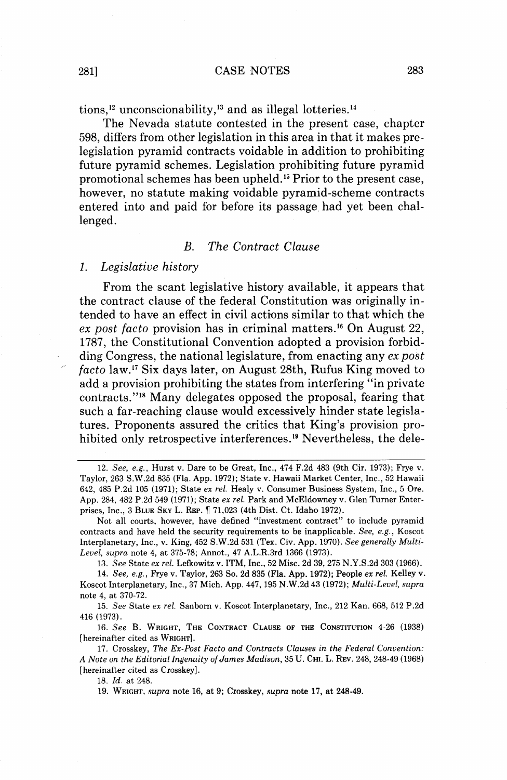tions,<sup>12</sup> unconscionability,<sup>13</sup> and as illegal lotteries.<sup>14</sup>

The Nevada statute contested in the present case, chapter 598, differs from other legislation in this area in that it makes prelegislation pyramid contracts voidable in addition to prohibiting future pyramid schemes. Legislation prohibiting future pyramid promotional schemes has been upheld.15 Prior to the present case, however, no statute making voidable pyramid-scheme contracts entered into and paid for before its passage. had yet been challenged.

#### *B. The Contract Clause*

# 1. *Legislative history*

From the scant legislative history available, it appears that the contract clause of the federal Constitution was originally intended to have an effect in civil actions similar to that which the ex post facto provision has in criminal matters.<sup>16</sup> On August 22, 1787, the Constitutional Convention adopted a provision forbid-<br>ding Congress, the national legislature, from enacting any  $ex$  post facto law.<sup>17</sup> Six days later, on August 28th, Rufus King moved to add a provision prohibiting the states from interfering "in private contracts."<sup>18</sup> Many delegates opposed the proposal, fearing that such a far-reaching clause would excessively hinder state legislatures. Proponents assured the critics that King's provision prohibited only retrospective interferences.<sup>19</sup> Nevertheless, the dele-

13. See State ex rel. Lefkowitz v. ITM, Inc., 52 Misc. 2d 39,275 N.Y.S.2d 303 (1966).

14. See, e.g., Frye v. Taylor, 263 So. 2d 835 (Fla. App. 1972); People ex rel. Kelley v. Koscot Interplanetary, Inc., 37 Mich. App. 447,195 N.W.2d 43 (1972); Multi-Level, supra note 4, at 370-72.

15. See State ex rel. Sanborn v. Koscot Interplanetary, Inc., 212 Kan. 668, 512 P.2d 416 (1973).

16. See B. WRIGHT, THE CONTRACT CLAUSE OF THE CONSTITUTION 4-26 (1938) [hereinafter cited as WRIGHT].

17. Crosskey, The Ex-Post Facto and Contracts Clauses in the Federal Convention: *A* Note on the Editorial Ingenuity of James Madison, 35 U. CHI. L. REV. 248, 248-49 (1968) [hereinafter cited as Crosskey].

18. Id. at 248.

19. WRIGHT, supra note 16, at 9; Crosskey, supra note 17, at 248-49.

<sup>12.</sup> See, e.g., Hurst v. Dare to be Great, Inc., 474 F.2d 483 (9th Cir. 1973); Frye v. Taylor, 263 S.W.2d 835 (Fla. App. 1972); State v. Hawaii Market Center, Inc., 52 Hawaii 642, 485 P.2d 105 (1971); State ex rel. Healy v. Consumer Business System, Inc., 5 Ore. App. 284, 482 P.2d 549 (1971); State ex rel. Park and McEldowney v. Glen Turner Enterprises, Inc., 3 BLUE SKY L. REP. fi 71,023 (4th Dist. Ct. Idaho 1972).

Not all courts, however, have defined "investment contract" to include pyramid contracts and have held the security requirements to be inapplicable. See, e.g., Koscot Interplanetary, Inc., v. King, 452 S.W.2d 531 (Tex. Civ. App. 1970). See generally Multi-Level, supra note 4, at 375-78; Annot., 47 A.L.R.3rd 1366 (1973).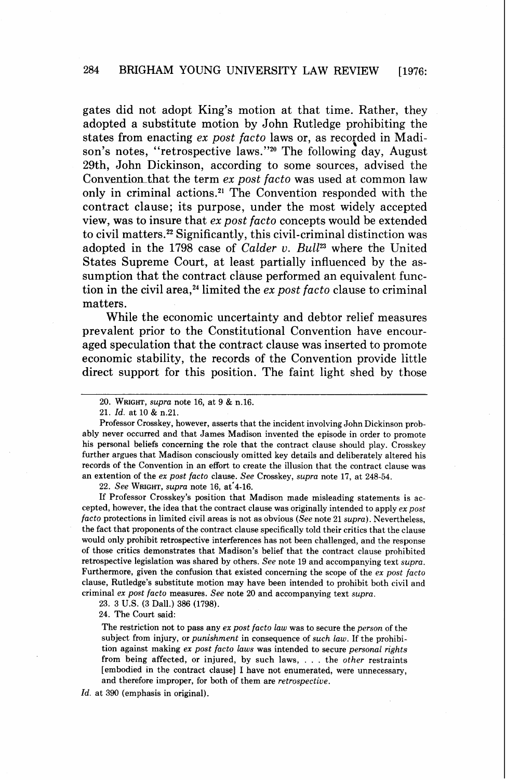gates did not adopt King's motion at that time. Rather, they adopted a substitute motion by John Rutledge prohibiting the states from enacting *ex post facto* laws or, as recorded in Madison's notes, "retrospective laws."<sup>20</sup> The following day, August 29th, John Dickinson, according to some sources, advised the Convention that the term *ex post facto* was used at common law only in criminal actions.21 The Convention responded with the contract clause; its purpose, under the most widely accepted view, was to insure that *ex post facto* concepts would be extended to civil matters.22 Significantly, this civil-criminal distinction was adopted in the 1798 case of *Calder v. Bull*<sup>23</sup> where the United States Supreme Court, at least partially influenced by the assumption that the contract clause performed an equivalent function in the civil area,<sup>24</sup> limited the *ex post facto* clause to criminal matters.

While the economic uncertainty and debtor relief measures prevalent prior to the Constitutional Convention have encouraged speculation that the contract clause was inserted to promote economic stability, the records of the Convention provide little direct support for this position. The faint light shed by those

22. *See* WRIGHT, *supra* note 16, at'4-16.

If Professor Crosskey's position that Madison made misleading statements is accepted, however, the idea that the contract clause was originally intended to apply *ex post facto* protections in limited civil areas is not as obvious *(See* note 21 *supra).* Nevertheless, the fact that proponents of the contract clause specifically told their critics that the clause would only prohibit retrospective interferences has not been challenged, and the response of those critics demonstrates that Madison's belief that the contract clause prohibited retrospective legislation was shared by others. *See* note 19 and accompanying text *supra.*  Furthermore, given the confusion that existed concerning the scope of the *ex post facto*  clause, Rutledge's substitute motion may have been intended to prohibit both civil and criminal *ex post facto* measures. *See* note 20 and accompanying text *supra.* 

23. 3 U.S. (3 Dall.) 386 (1798).

24. The Court said:

The restriction not to pass any *ex post facto law* was to secure the *person* of the subject from injury, or *punishment* in consequence of *such law.* If the prohibition against making *ex post facto laws* was intended to secure *personal rights*  from being affected, or injured, by such laws, . . . the *other* restraints [embodied in the contract **clause]** I have not enumerated, were unnecessary, and therefore improper, for both of them are *retrospective.* 

Id. at 390 (emphasis in original).

<sup>20.</sup> WRIGHT, *supra* note 16, at 9 & n.16.

<sup>21.</sup> Id. at 10 & n.21.

Professor Crosskey, however, asserts that the incident involving John Dickinson probably never occurred and that James Madison invented the episode in order to promote his personal beliefs concerning the role that the contract clause should play. Crosskey further argues that Madison consciously omitted key details and deliberately altered his records of the Convention in an effort to create the illusion that the contract clause was an extention of the *ex post facto* clause. *See* Crosskey, *supra* note 17, at 248-54.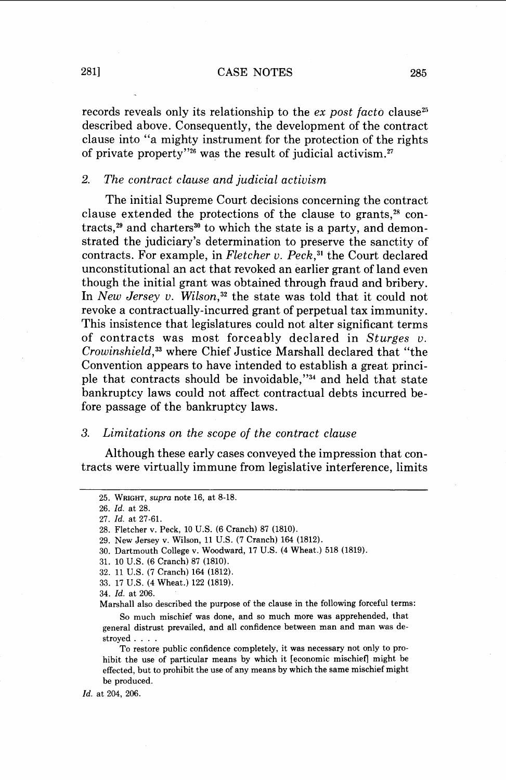### 281] CASE NOTES 285

records reveals only its relationship to the  $ex$  post facto clause<sup>25</sup> described above. Consequently, the development of the contract clause into "a mighty instrument for the protection of the rights of private property"26 was the result of judicial activism.27

# 2. The contract clause and judicial activism

The initial Supreme Court decisions concerning the contract clause extended the protections of the clause to grants, $28$  contracts, $29$  and charters<sup>30</sup> to which the state is a party, and demonstrated the judiciary's determination to preserve the sanctity of contracts. For example, in Fletcher v. Peck, $31$  the Court declared unconstitutional an act that revoked an earlier grant of land even though the initial grant was obtained through fraud and bribery. In New Jersey v. Wilson,<sup>32</sup> the state was told that it could not revoke a contractually-incurred grant of perpetual tax immunity. This insistence that legislatures could not alter significant terms of contracts was most forceably declared in Sturges v. Crowinshield,<sup>33</sup> where Chief Justice Marshall declared that "the Convention appears to have intended to establish a great principle that contracts should be invoidable," $^{34}$  and held that state bankruptcy laws could not affect contractual debts incurred before passage of the bankruptcy laws.

### *3.* Limitations on the scope of the contract clause

Although these early cases conveyed the impression that contracts were virtually immune from legislative interference, limits

<sup>25.</sup> WRIGHT, supra note 16, at 8-18.

<sup>26.</sup> *Id.* at 28.

<sup>27.</sup> *Id.* at 27-61.

<sup>28.</sup> Fletcher v. Peck, 10 U.S. (6 Cranch) 87 (1810).

<sup>29.</sup> New Jersey v. Wilson, 11 U.S. (7 Cranch) 164 (1812).

<sup>30.</sup> Dartmouth College v. Woodward, 17 U.S. (4 Wheat.) 518 (1819).

<sup>31. 10</sup> U.S. (6 Cranch) 87 (1810).

<sup>32. 11</sup> U.S. (7 Cranch) 164 (1812).

<sup>33. 17</sup> U.S. (4 Wheat.) 122 (1819).

<sup>34.</sup> *Id.* at 206.

Marshall also described the purpose of the clause in the following forceful terms:

So much mischief was done, and so much more was apprehended, that general distrust prevailed, and all confidence between man and man was destroyed . . . .

To restore public confidence completely, it was necessary not only to prohibit the use of particular means by which it [economic mischief] might be effected, but to prohibit the use of any means by which the same mischief might be produced.

*Id.* at 204, 206.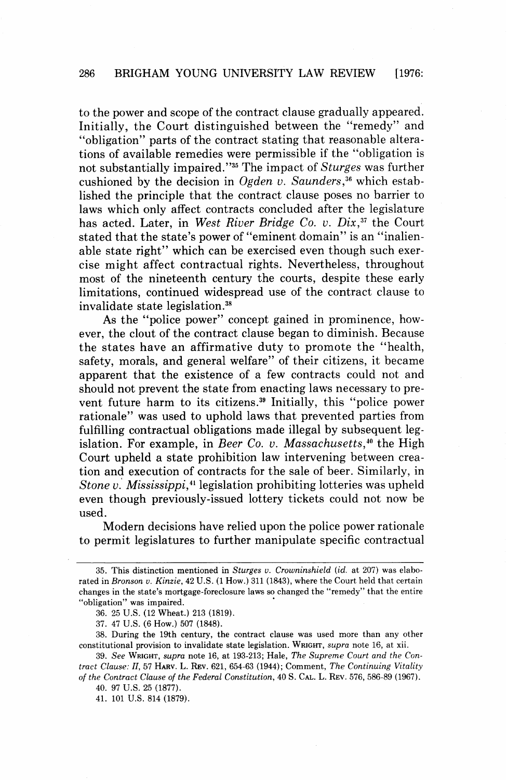to the power and scope of the contract clause gradually appeared. Initially, the Court distinguished between the "remedy" and "obligation" parts of the contract stating that reasonable alterations of available remedies were permissible if the "obligation is not substantially impaired."35 The impact of Sturges was further cushioned by the decision in Ogden v. Saunders,<sup>36</sup> which established the principle that the contract clause poses no barrier to laws which only affect contracts concluded after the legislature has acted. Later, in West River Bridge Co. v. Dix, $37$  the Court stated that the state's power of "eminent domain" is an "inalienable state right" which can be exercised even though such exercise might affect contractual rights. Nevertheless, throughout most of the nineteenth century the courts, despite these early limitations, continued widespread use of the contract clause to invalidate state legislation.<sup>38</sup>

As the "police power" concept gained in prominence, however, the clout of the contract clause began to diminish. Because the states have an affirmative duty to promote the "health, safety, morals, and general welfare" of their citizens, it became apparent that the existence of a few contracts could not and should not prevent the state from enacting laws necessary to prevent future harm to its citizens.39 Initially, this "police power rationale" was used to uphold laws that prevented parties from fulfilling contractual obligations made illegal by subsequent legislation. For example, in Beer Co. v. Massachusetts, ${}^{40}$  the High Court upheld a state prohibition law intervening between creation and execution of contracts for the sale of beer. Similarly, in Stone v. Mississippi,<sup>41</sup> legislation prohibiting lotteries was upheld even though previously-issued lottery tickets could not now be used.

Modern decisions have relied upon the police power rationale to permit legislatures to further manipulate specific contractual

40. 97 U.S. 25 (1877).

41. 101 U.S. 814 (1879).

<sup>35.</sup> This distinction mentioned in Sturges v. Crowninshield (id. at 207) was elaborated in Bronson v. Kinzie, 42 U.S. (1 How.) 311 (1843), where the Court held that certain changes in the state's mortgage-foreclosure laws so changed the "remedy" that the entire "obligation" was impaired.

<sup>36. 25</sup> U.S. (12 Wheat.) 213 (1819).

<sup>37. 47</sup> U.S. (6 How.) 507 (1848).

<sup>38.</sup> During the 19th century, the contract clause was used more than any other constitutional provision to invalidate state legislation. WRIGHT, supra note 16, at xii.

<sup>39.</sup> See WRIGHT, supra note 16, at 193-213; Hale, The Supreme Court and the Contract Clause: 11, 57 HARV. L. REV. 621, 654-63 (1944); Comment, The Continuing Vitality of the Contract Clause of the Federal Constitution, 40 S. CAL. L. REV. 576, 586-89 (1967).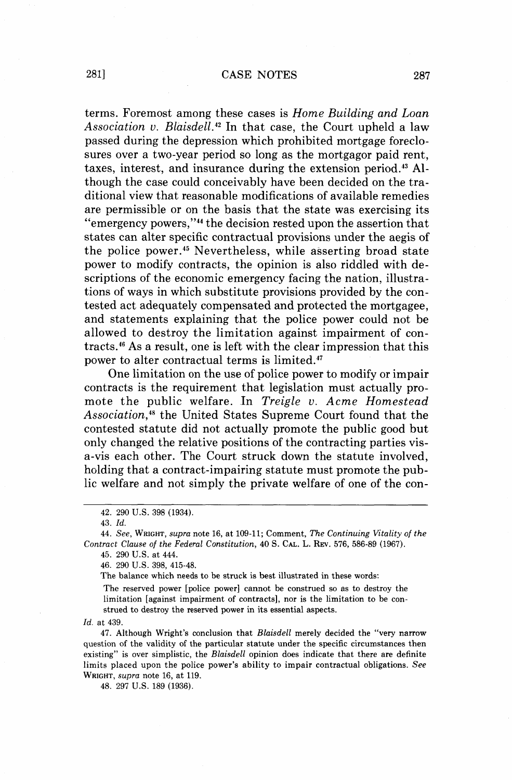### 2811 CASE NOTES 287

terms. Foremost among these cases is Home Building and Loan Association v. Blaisdell.<sup>42</sup> In that case, the Court upheld a law passed during the depression which prohibited mortgage foreclosures over a two-year period so long as the mortgagor paid rent, taxes, interest, and insurance during the extension period.<sup>43</sup> Although the case could conceivably have been decided on the traditional view that reasonable modifications of available remedies are permissible or on the basis that the state was exercising its **6 6** emergency powers,"44 the decision rested upon the assertion that states can alter specific contractual provisions under the aegis of the police power.<sup>45</sup> Nevertheless, while asserting broad state power to modify contracts, the opinion is also riddled with descriptions of the economic emergency facing the nation, illustrations of ways in which substitute provisions provided by the contested act adequately compensated and protected the mortgagee, and statements explaining that the police power could not be allowed to destroy the limitation against impairment of contracts.<sup>46</sup> As a result, one is left with the clear impression that this power to alter contractual terms is limited."'

One limitation on the use of police power to modify or impair contracts is the requirement that legislation must actually promote the public welfare. In Treigle v. Acme Homestead Association,<sup>48</sup> the United States Supreme Court found that the contested statute did not actually promote the public good but only changed the relative positions of the contracting parties visa-vis each other. The Court struck down the statute involved, holding that a contract-impairing statute must promote the public welfare and not simply the private welfare of one of the con-

46. 290 U.S. 398, 415-48.

The balance which needs to be struck is best illustrated in these words:

The reserved power [police power] cannot be construed so as to destroy the limitation [against impairment of contracts], nor is the limitation to be construed to destroy the reserved power in its essential aspects.

*Id.* at 439.

47. Although Wright's conclusion that *Blaisdell* merely decided the "very narrow question of the validity of the particular statute under the specific circumstances then existing" is over simplistic, the *Blaisdell* opinion does indicate that there are definite limits placed upon the police power's ability to impair contractual obligations. *See*  WRIGHT, *supra* note 16, at 119.

48. 297 U.S. 189 (1936).

<sup>42. 290</sup> U.S. 398 (1934).

<sup>43.</sup> *Id.* 

<sup>44.</sup> *See,* WRIGHT, *supra* note 16, at 109-11; Comment, *The Continuing Vitality of the Contract Clause of the Federal Constitution, 40 S. CAL.* L. REV. 576, 586-89 (1967).

<sup>45. 290</sup> U.S. at 444.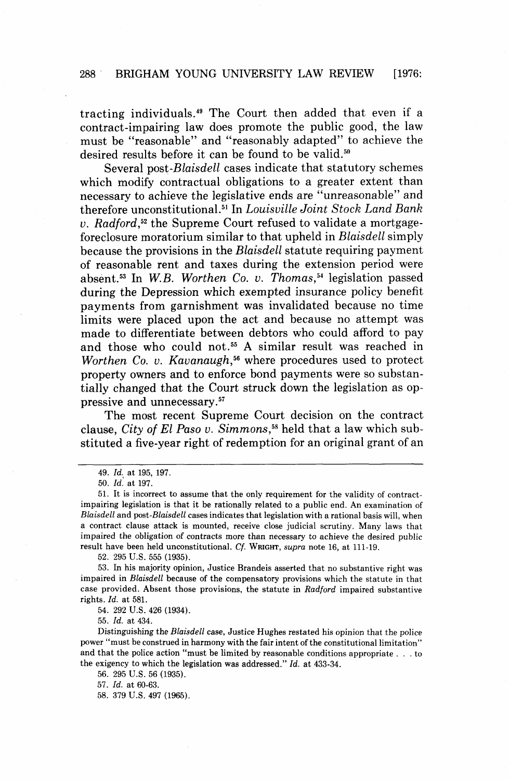# **288** ' **BRIGHAM YOUNG UNIVERSITY LAW REVIEW** [1976:

tracting individuals." The Court then added that even if a contract-impairing law does promote the public good, the law must be "reasonable" and "reasonably adapted" to achieve the desired results before it can be found to be valid.<sup>50</sup>

Several post-Blaisdell cases indicate that statutory schemes which modify contractual obligations to a greater extent than necessary to achieve the legislative ends are "unreasonable" and therefore unconstitutional.<sup>51</sup> In *Louisville Joint Stock Land Bank* v. Radford,<sup>52</sup> the Supreme Court refused to validate a mortgageforeclosure moratorium similar to that upheld in Blaisdell simply because the provisions in the Blaisdell statute requiring payment of reasonable rent and taxes during the extension period were absent. $53$  In W.B. Worthen Co. v. Thomas. $54$  legislation passed during the Depression which exempted insurance policy benefit payments from garnishment was invalidated because no time limits were placed upon the act and because no attempt was made to differentiate between debtors who could afford to pay and those who could not.55 **A** similar result was reached in Worthen Co. v. Kavanaugh,<sup>56</sup> where procedures used to protect property owners and to enforce bond payments were so substantially changed that the Court struck down the legislation as oppressive and unnecessary.<sup>57</sup>

The most recent Supreme Court decision on the contract clause, City of El Paso v. Simmons,<sup>58</sup> held that a law which substituted a five-year right of redemption for an original grant of an

**52. 295 U.S. 555 (1935).** 

**53. In** his majority opinion, Justice Brandeis asserted that no substantive right was impaired in Blaisdell because of the compensatory provisions which the statute in that case provided. Absent those provisions, the statute in Radford impaired substantive rights. Id. at **581.** 

**54. 292 U.S. 426 (1934).** 

**55.** Id. at **434.** 

Distinguishing the Blaisdell case, Justice Hughes restated his opinion that the police power "must be construed in harmony with the fair intent of the constitutional limitation'' and that the police action "must be limited by reasonable conditions appropriate . . . to the exigency to which the legislation was addressed." Id. at **433-34.** 

**56. 295 U.S. 56 (1935).** 

**57. Id.** at **60-63.** 

58. 379 U.S. 497 (1965).

**<sup>49.</sup>** Id., at **195, 197.** 

**<sup>50.</sup>** Id. at **197.** 

**<sup>51.</sup>** It is incorrect to assume that the only requirement for the validity of contractimpairing legislation is that it be rationally related to a public end. An examination of Blaisdell and post-Blaisdell cases indicates that legislation with a rational basis will, when a contract clause attack is mounted, receive close judicial scrutiny. Many laws that impaired the obligation of contracts more than necessary to achieve the desired public result have been held unconstitutional. Cf. WRIGHT, supra note **16,** at **111-19.**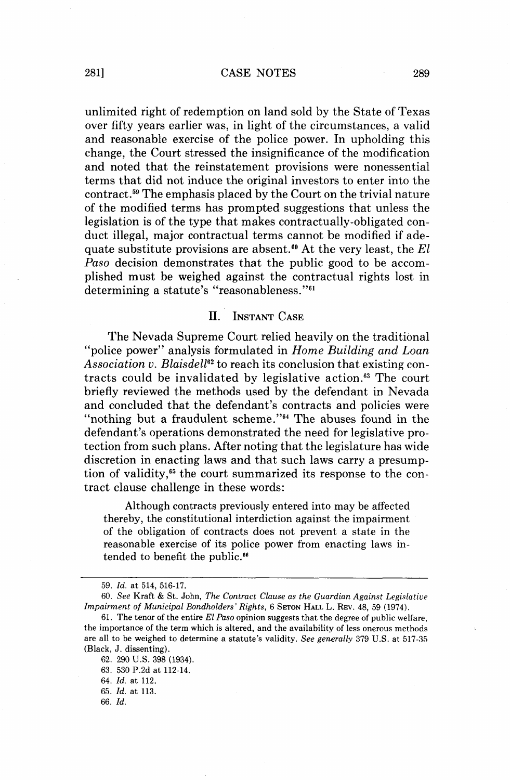#### 2811 CASE NOTES 289

unlimited right of redemption on land sold by the State of Texas over fifty years earlier was, in light of the circumstances, a valid and reasonable exercise of the police power. In upholding this change, the Court stressed the insignificance of the modification and noted that the reinstatement provisions were nonessential terms that did not induce the original investors to enter into the contract.<sup>59</sup> The emphasis placed by the Court on the trivial nature of the modified terms has prompted suggestions that unless the legislation is of the type that makes contractually-obligated conduct illegal, major contractual terms cannot be modified if adequate substitute provisions are absent.<sup>60</sup> At the very least, the *El Paso* decision demonstrates that the public good to be accomplished must be weighed against the contractual rights lost in determining a statute's "reasonableness." $61$ 

#### $\Pi$ . **INSTANT CASE**

The Nevada Supreme Court relied heavily on the traditional "police power" analysis formulated in *Home Building and Loan*  Association v. Blaisdell<sup>62</sup> to reach its conclusion that existing contracts could be invalidated by legislative action." The court briefly reviewed the methods used by the defendant in Nevada and concluded that the defendant's contracts and policies were "nothing but a fraudulent scheme."<sup>64</sup> The abuses found in the defendant's operations demonstrated the need for legislative protection from such plans. After noting that the legislature has wide discretion in enacting laws and that such laws carry a presumption of validity, $65$  the court summarized its response to the contract clause challenge in these words:

Although contracts previously entered into may be affected thereby, the constitutional interdiction against the impairment of the obligation of contracts does not prevent a state in the reasonable exercise of its police power from enacting laws intended to benefit the public.<sup>66</sup>

-- -

66. *Id.* 

<sup>59.</sup> *Id.* at 514, 516-17.

<sup>60.</sup> *See* Kraft & St. John, *The Contract Clause as the Guardian Against* **Legislative**  *Impairment of Municipal Bondholders' Rights,* 6 SETON *HALL* L. **REV.** 48, 59 (1974).

<sup>61.</sup> The tenor of the entire *El Paso* opinion suggests that the degree of public welfare, the importance of the term which is altered, and the availability of less onerous methods are all to be weighed to determine a statute's validity. *See generally* 379 *U.S.* at 517-35 (Black, J. dissenting).

<sup>62. 290</sup> U.S. 398 (1934).

<sup>63. 530</sup> P.2d at 112-14.

<sup>64.</sup> *Id.* at 112.

<sup>65.</sup> *Id.* at 113.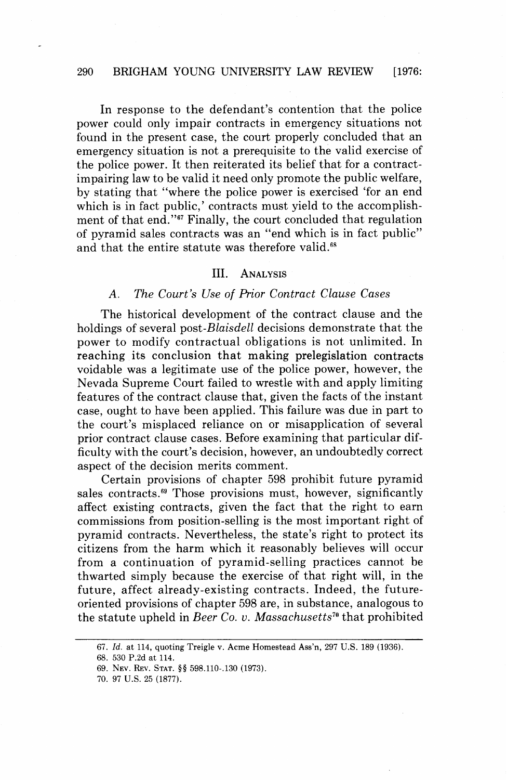### 290 BRIGHAM YOUNG UNIVERSITY LAW REVIEW [1976:

In response to the defendant's contention that the police power could only impair contracts in emergency situations not found in the present case, the court properly concluded that an emergency situation is not a prerequisite to the valid exercise of the police power. It then reiterated its belief that for a contractimpairing law to be valid it need only promote the public welfare, by stating that "where the police power is exercised 'for an end which is in fact public,' contracts must yield to the accomplishment of that end."67 Finally, the court concluded that regulation of pyramid sales contracts was an "end which is in fact public" and that the entire statute was therefore valid.<sup>68</sup>

#### $III.$ **ANALYSIS**

# **A.** The Court's Use of Prior Contract Clause Cases

The historical development of the contract clause and the holdings of several post-*Blaisdell* decisions demonstrate that the power to modify contractual obligations is not unlimited. In reaching its conclusion that making prelegislation contracts voidable was a legitimate use of the police power, however, the Nevada Supreme Court failed to wrestle with and apply limiting features of the contract clause that, given the facts of the instant case, ought to have been applied. This failure was due in part to the court's misplaced reliance on or misapplication of several prior contract clause cases. Before examining that particular difficulty with the court's decision, however, an undoubtedly correct aspect of the decision merits comment.

Certain provisions of chapter 598 prohibit future pyramid sales contracts.<sup>69</sup> Those provisions must, however, significantly affect existing contracts, given the fact that the right to earn commissions from position-selling is the most important right of pyramid contracts. Nevertheless, the state's right to protect its citizens from the harm which it reasonably believes will occur from a continuation of pyramid-selling practices cannot be thwarted simply because the exercise of that right will, in the future, affect already-existing contracts. Indeed, the futureoriented provisions of chapter 598 are, in substance, analogous to the statute upheld in Beer Co. v. Massachusetts<sup> $70$ </sup> that prohibited

<sup>67.</sup> Id. at 114, quoting Treigle v. Acme Homestead Ass'n, 297 U.S. 189 (1936).

<sup>68. 530</sup> P.2d at 114.

<sup>69.</sup> NEV. REV. STAT. *\$5* 598.110-.I30 (1973).

<sup>70. 97</sup> U.S. 25 (1877).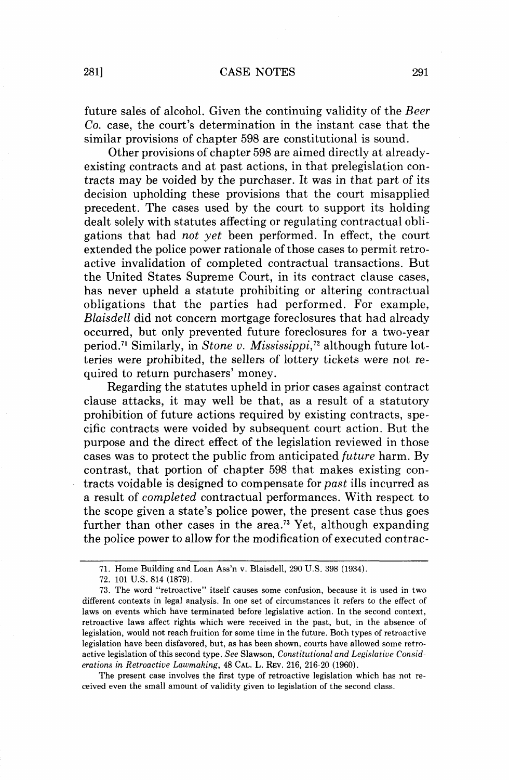future sales of alcohol. Given the continuing validity of the Beer Co. case, the court's determination in the instant case that the similar provisions of chapter 598 are constitutional is sound.

Other provisions of chapter 598 are aimed directly at alreadyexisting contracts and at past actions, in that prelegislation contracts may be voided by the purchaser. It was in that part of its decision upholding these provisions that the court misapplied precedent. The cases used by the court to support its holding dealt solely with statutes affecting or regulating contractual obligations that had not yet been performed. In effect, the court extended the police power rationale of those cases to permit retroactive invalidation of completed contractual transactions. But the United States Supreme Court, in its contract clause cases, has never upheld a statute prohibiting or altering contractual obligations that the parties had performed. For example, Blaisdell did not concern mortgage foreclosures that had already occurred, but only prevented future foreclosures for a two-year period.<sup>71</sup> Similarly, in Stone v. Mississippi,<sup>72</sup> although future lotteries were prohibited, the sellers of lottery tickets were not required to return purchasers' money.

Regarding the statutes upheld in prior cases against contract clause attacks, it may well be that, as a result of a statutory prohibition of future actions required by existing contracts, specific contracts were voided by subsequent court action. But the purpose and the direct effect of the legislation reviewed in those cases was to protect the public from anticipated future harm. By contrast, that portion of chapter 598 that makes existing contracts voidable is designed to compensate for past ills incurred as a result of completed contractual performances. With respect to the scope given a state's police power, the present case thus goes further than other cases in the area.<sup>73</sup> Yet, although expanding the police power to allow for the modification of executed contrac-

The present case involves the first type of retroactive legislation which has not received even the small amount of validity given to legislation of the second class.

<sup>71.</sup> Home Building and Loan Ass'n v. Blaisdell, 290 U.S. 398 (1934).

<sup>72. 101</sup> U.S. 814 (1879).

<sup>73.</sup> The word "retroactive" itself causes some confusion, because it is used in two different contexts in legal analysis. In one set of circumstances it refers to the effect of laws on events which have terminated before legislative action. In the second context, retroactive laws affect rights which were received in the past, but, in the absence of legislation, would not reach fruition for some time in the future. Both types of retroactive legislation have been disfavored, but, as has been shown, courts have allowed some retroactive legislation of this second type. See Slawson, Constitutional and Legislative Considerations in Retroactive Lawmaking, 48 CAL. L. REV. 216, 216-20 (1960).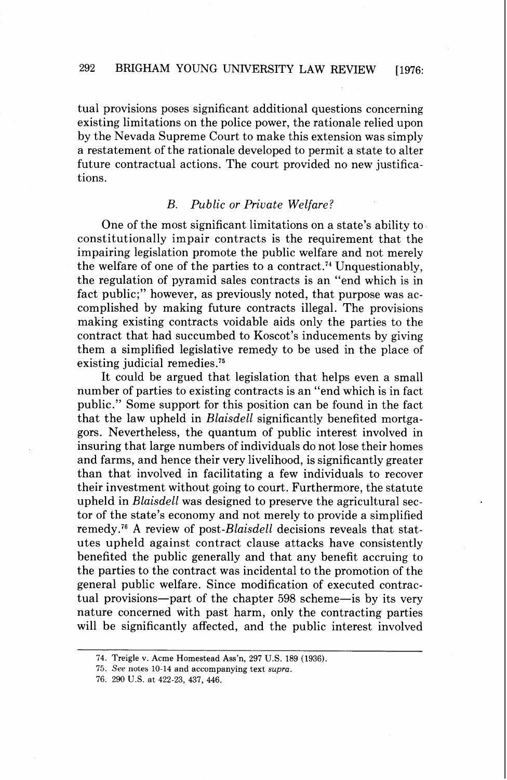tual provisions poses significant additional questions concerning existing limitations on the police power, the rationale relied upon by the Nevada Supreme Court to make this extension was simply a restatement of the rationale developed to permit a state to alter future contractual actions. The court provided no new justifications.

# B. Public or Private Welfare?

One of the most significant limitations on a state's ability to constitutionally impair contracts is the requirement that the impairing legislation promote the public welfare and not merely the welfare of one of the parties to a contract.74 Unquestionably, the regulation of pyramid sales contracts is an "end which is in fact public;" however, as previously noted, that purpose was accomplished by making future contracts illegal. The provisions making existing contracts voidable aids only the parties to the contract that had succumbed to Koscot's inducements by giving them a simplified legislative remedy to be used in the place of existing judicial remedies.<sup>75</sup>

It could be argued that legislation that helps even a small number of parties to existing contracts is an "end which is in fact public." Some support for this position can be found in the fact that the law upheld in Blaisdell significantly benefited mortgagors. Nevertheless, the quantum of public interest involved in insuring that large numbers of individuals do not lose their homes and farms, and hence their very livelihood, is significantly greater than that involved in facilitating a few individuals to recover their investment without going to court. Furthermore, the statute upheld in Blaisdell was designed to preserve the agricultural sector of the state's economy and not merely to provide a simplified remedy.<sup>76</sup> A review of post-Blaisdell decisions reveals that statutes upheld against contract clause attacks have consistently benefited the public generally and that any benefit accruing to the parties to the contract was incidental to the promotion of the general public welfare. Since modification of executed contractual provisions-part of the chapter 598 scheme-is by its very nature concerned with past harm, only the contracting parties will be significantly affected, and the public interest involved

<sup>74.</sup> Treigle v. Acme Homestead Ass'n, 297 U.S. 189 (1936).

<sup>75.</sup> *See* notes 10-14 and accompanying text supra.

<sup>76. 290</sup> U.S. at 422-23, 437, 446.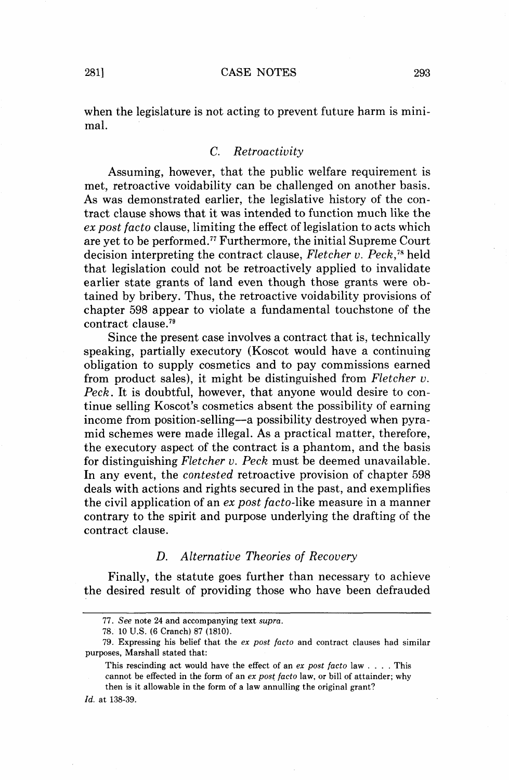when the legislature is not acting to prevent future harm is minimal.

# C. Retroactivity

Assuming, however, that the public welfare requirement is met, retroactive voidability can be challenged on another basis. As was demonstrated earlier, the legislative history of the contract clause shows that it was intended to function much like the ex post facto clause, limiting the effect of legislation to acts which are yet to be performed.77 Furthermore, the initial Supreme Court decision interpreting the contract clause, Fletcher v. Peck, $\frac{78}{18}$ held that legislation could not be retroactively applied to invalidate earlier state grants of land even though those grants were obtained by bribery. Thus, the retroactive voidability provisions of chapter 598 appear to violate a fundamental touchstone of the contract clause.79

Since the present case involves a contract that is, technically speaking, partially executory (Koscot would have a continuing obligation to supply cosmetics and to pay commissions earned from product sales), it might be distinguished from Fletcher **v.**  Peck. It is doubtful, however, that anyone would desire to continue selling Koscot's cosmetics absent the possibility of earning income from position-selling-a possibility destroyed when pyramid schemes were made illegal. As a practical matter, therefore, the executory aspect of the contract is a phantom, and the basis for distinguishing Fletcher v. Peck must be deemed unavailable. In any event, the contested retroactive provision of chapter 598 deals with actions and rights secured in the past, and exemplifies the civil application of an ex post facto-like measure in a manner contrary to the spirit and purpose underlying the drafting of the contract clause.

# D. Alternative Theories of Recovery

Finally, the statute goes further than necessary to achieve the desired result of providing those who have been defrauded

This rescinding act would have the effect of an **ex** *post facto* law . . . . This cannot be effected in the form of an **ex** *post facto* law, or bill of attainder; why then is it allowable in the form of a law annulling the original grant?

<sup>77.</sup> **See** note **24** and accompanying text *supra.* 

<sup>78. 10</sup> *U.S.* (6 Cranch) 87 (1810).

<sup>79.</sup> Expressing his belief that the **ex** *post facto* and contract clauses had similar purposes, Marshall stated that:

*Id.* at 138-39.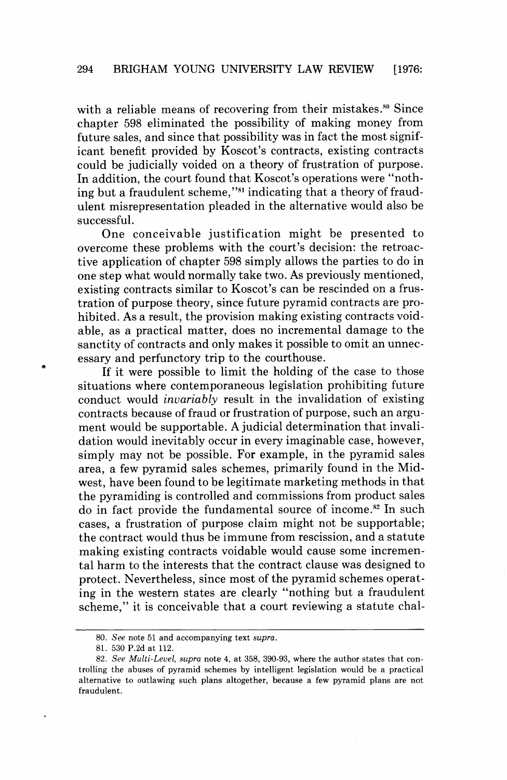with a reliable means of recovering from their mistakes. ${}^{80}$  Since chapter 598 eliminated the possibility of making money from future sales, and since that possibility was in fact the most significant benefit provided by Koscot's contracts, existing contracts could be judicially voided on a theory of frustration of purpose. In addition, the court found that Koscot's operations were "nothing but a fraudulent scheme,"81 indicating that a theory of fraudulent misrepresentation pleaded in the alternative would also be successful.

One conceivable justification might be presented to overcome these problems with the court's decision: the retroactive application of chapter 598 simply allows the parties to do in one step what would normally take two. As previously mentioned, existing contracts similar to Koscot's can be rescinded on a frustration of purpose theory, since future pyramid contracts are prohibited. As a result, the provision making existing contracts voidable, as a practical matter, does no incremental damage to the sanctity of contracts and only makes it possible to omit an unnecessary and perfunctory trip to the courthouse.

If it were possible to limit the holding of the case to those situations where contemporaneous legislation prohibiting future conduct would *invariably* result in the invalidation of existing contracts because of fraud or frustration of purpose, such an argument would be supportable. **A** judicial determination that invalidation would inevitably occur in every imaginable case, however, simply may not be possible. For example, in the pyramid sales area, a few pyramid sales schemes, primarily found in the Midwest, have been found to be legitimate marketing methods in that the pyramiding is controlled and commissions from product sales do in fact provide the fundamental source of income.<sup>82</sup> In such cases, a frustration of purpose claim might not be supportable; the contract would thus be immune from rescission, and a statute making existing contracts voidable would cause some incremental harm to the interests that the contract clause was designed to protect. Nevertheless, since most of the pyramid schemes operating in the western states are clearly "nothing but a fraudulent scheme," it is conceivable that a court reviewing a statute chal-

<sup>80.</sup> See note 51 and accompanying text *supra.* 

<sup>81. 530</sup> P.2d at 112.

<sup>82.</sup> See Multi-Level, *supra* note 4, at 358, 390-93, where the author states that controlling the abuses of pyramid schemes by intelligent legislation would be a practical alternative to outlawing such plans altogether, because a few pyramid plans are not fraudulent.